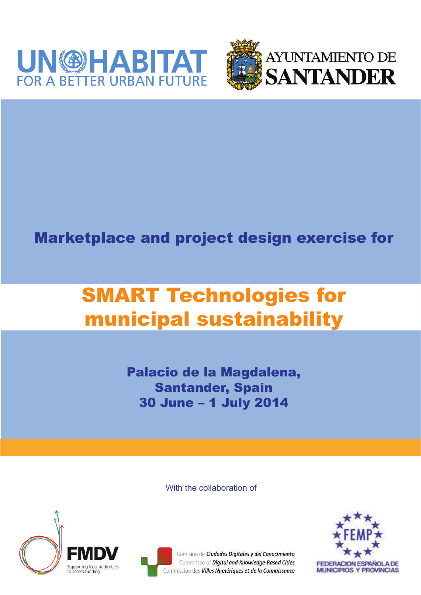



## Marketplace and project design exercise for

# SMART Technologies for municipal sustainability

Palacio de la Magdalena, Santander, Spain 30 June – 1 July 2014

With the collaboration of





Comisión de Ciudades Digitales y del Conocimiento Committee of Digital and Knowledge-Based Cities Commission des Villes Numériques et de la Connaissance

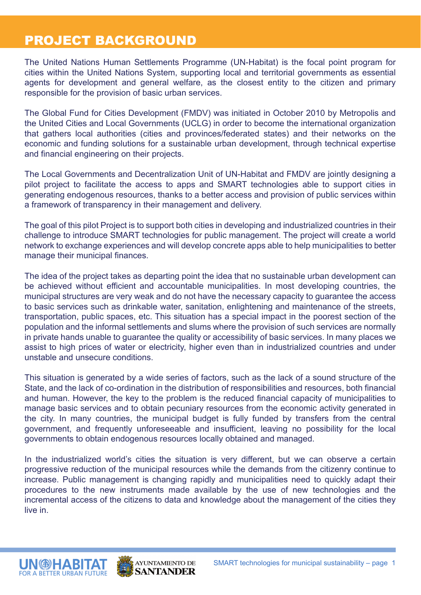#### PROJECT BACKGROUND

The United Nations Human Settlements Programme (UN-Habitat) is the focal point program for cities within the United Nations System, supporting local and territorial governments as essential agents for development and general welfare, as the closest entity to the citizen and primary responsible for the provision of basic urban services.

The Global Fund for Cities Development (FMDV) was initiated in October 2010 by Metropolis and the United Cities and Local Governments (UCLG) in order to become the international organization that gathers local authorities (cities and provinces/federated states) and their networks on the economic and funding solutions for a sustainable urban development, through technical expertise and financial engineering on their projects.

The Local Governments and Decentralization Unit of UN-Habitat and FMDV are jointly designing a pilot project to facilitate the access to apps and SMART technologies able to support cities in generating endogenous resources, thanks to a better access and provision of public services within a framework of transparency in their management and delivery.

The goal of this pilot Project is to support both cities in developing and industrialized countries in their challenge to introduce SMART technologies for public management. The project will create a world network to exchange experiences and will develop concrete apps able to help municipalities to better manage their municipal finances.

The idea of the project takes as departing point the idea that no sustainable urban development can be achieved without efficient and accountable municipalities. In most developing countries, the municipal structures are very weak and do not have the necessary capacity to guarantee the access to basic services such as drinkable water, sanitation, enlightening and maintenance of the streets, transportation, public spaces, etc. This situation has a special impact in the poorest section of the population and the informal settlements and slums where the provision of such services are normally in private hands unable to guarantee the quality or accessibility of basic services. In many places we assist to high prices of water or electricity, higher even than in industrialized countries and under unstable and unsecure conditions.

This situation is generated by a wide series of factors, such as the lack of a sound structure of the State, and the lack of co-ordination in the distribution of responsibilities and resources, both financial and human. However, the key to the problem is the reduced financial capacity of municipalities to manage basic services and to obtain pecuniary resources from the economic activity generated in the city. In many countries, the municipal budget is fully funded by transfers from the central government, and frequently unforeseeable and insufficient, leaving no possibility for the local governments to obtain endogenous resources locally obtained and managed.

In the industrialized world's cities the situation is very different, but we can observe a certain progressive reduction of the municipal resources while the demands from the citizenry continue to increase. Public management is changing rapidly and municipalities need to quickly adapt their procedures to the new instruments made available by the use of new technologies and the incremental access of the citizens to data and knowledge about the management of the cities they live in.



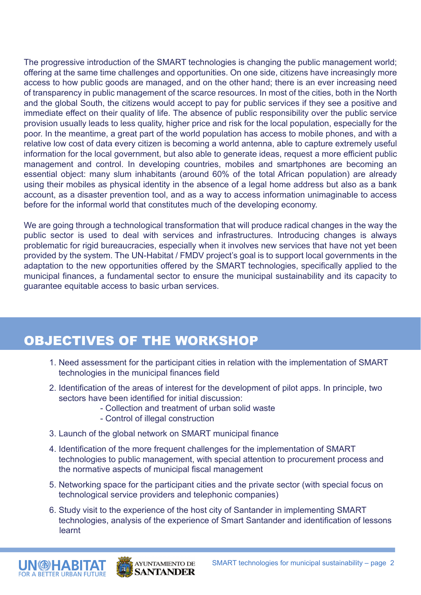The progressive introduction of the SMART technologies is changing the public management world; offering at the same time challenges and opportunities. On one side, citizens have increasingly more access to how public goods are managed, and on the other hand; there is an ever increasing need of transparency in public management of the scarce resources. In most of the cities, both in the North and the global South, the citizens would accept to pay for public services if they see a positive and immediate effect on their quality of life. The absence of public responsibility over the public service provision usually leads to less quality, higher price and risk for the local population, especially for the poor. In the meantime, a great part of the world population has access to mobile phones, and with a relative low cost of data every citizen is becoming a world antenna, able to capture extremely useful information for the local government, but also able to generate ideas, request a more efficient public management and control. In developing countries, mobiles and smartphones are becoming an essential object: many slum inhabitants (around 60% of the total African population) are already using their mobiles as physical identity in the absence of a legal home address but also as a bank account, as a disaster prevention tool, and as a way to access information unimaginable to access before for the informal world that constitutes much of the developing economy.

We are going through a technological transformation that will produce radical changes in the way the public sector is used to deal with services and infrastructures. Introducing changes is always problematic for rigid bureaucracies, especially when it involves new services that have not yet been provided by the system. The UN-Habitat / FMDV project's goal is to support local governments in the adaptation to the new opportunities offered by the SMART technologies, specifically applied to the municipal finances, a fundamental sector to ensure the municipal sustainability and its capacity to guarantee equitable access to basic urban services.

## OBJECTIVES OF THE WORKSHOP

- 1. Need assessment for the participant cities in relation with the implementation of SMART technologies in the municipal finances field
- 2. Identification of the areas of interest for the development of pilot apps. In principle, two sectors have been identified for initial discussion:
	- Collection and treatment of urban solid waste
	- Control of illegal construction
- 3. Launch of the global network on SMART municipal finance
- 4. Identification of the more frequent challenges for the implementation of SMART technologies to public management, with special attention to procurement process and the normative aspects of municipal fiscal management
- 5. Networking space for the participant cities and the private sector (with special focus on technological service providers and telephonic companies)
- 6. Study visit to the experience of the host city of Santander in implementing SMART technologies, analysis of the experience of Smart Santander and identification of lessons learnt